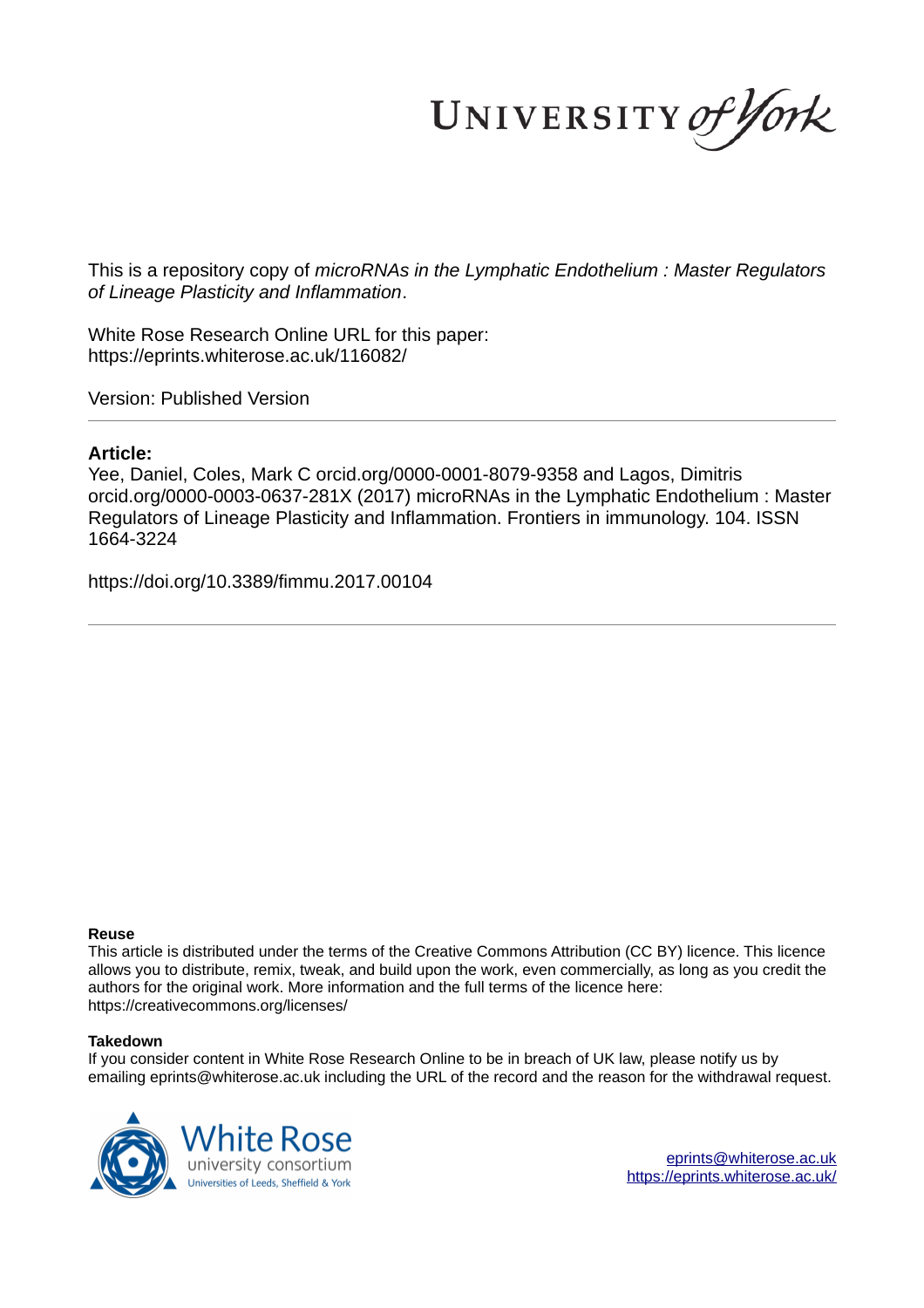UNIVERSITY of York

This is a repository copy of *microRNAs in the Lymphatic Endothelium : Master Regulators of Lineage Plasticity and Inflammation*.

White Rose Research Online URL for this paper: https://eprints.whiterose.ac.uk/116082/

Version: Published Version

#### **Article:**

Yee, Daniel, Coles, Mark C orcid.org/0000-0001-8079-9358 and Lagos, Dimitris orcid.org/0000-0003-0637-281X (2017) microRNAs in the Lymphatic Endothelium : Master Regulators of Lineage Plasticity and Inflammation. Frontiers in immunology. 104. ISSN 1664-3224

https://doi.org/10.3389/fimmu.2017.00104

#### **Reuse**

This article is distributed under the terms of the Creative Commons Attribution (CC BY) licence. This licence allows you to distribute, remix, tweak, and build upon the work, even commercially, as long as you credit the authors for the original work. More information and the full terms of the licence here: https://creativecommons.org/licenses/

#### **Takedown**

If you consider content in White Rose Research Online to be in breach of UK law, please notify us by emailing eprints@whiterose.ac.uk including the URL of the record and the reason for the withdrawal request.

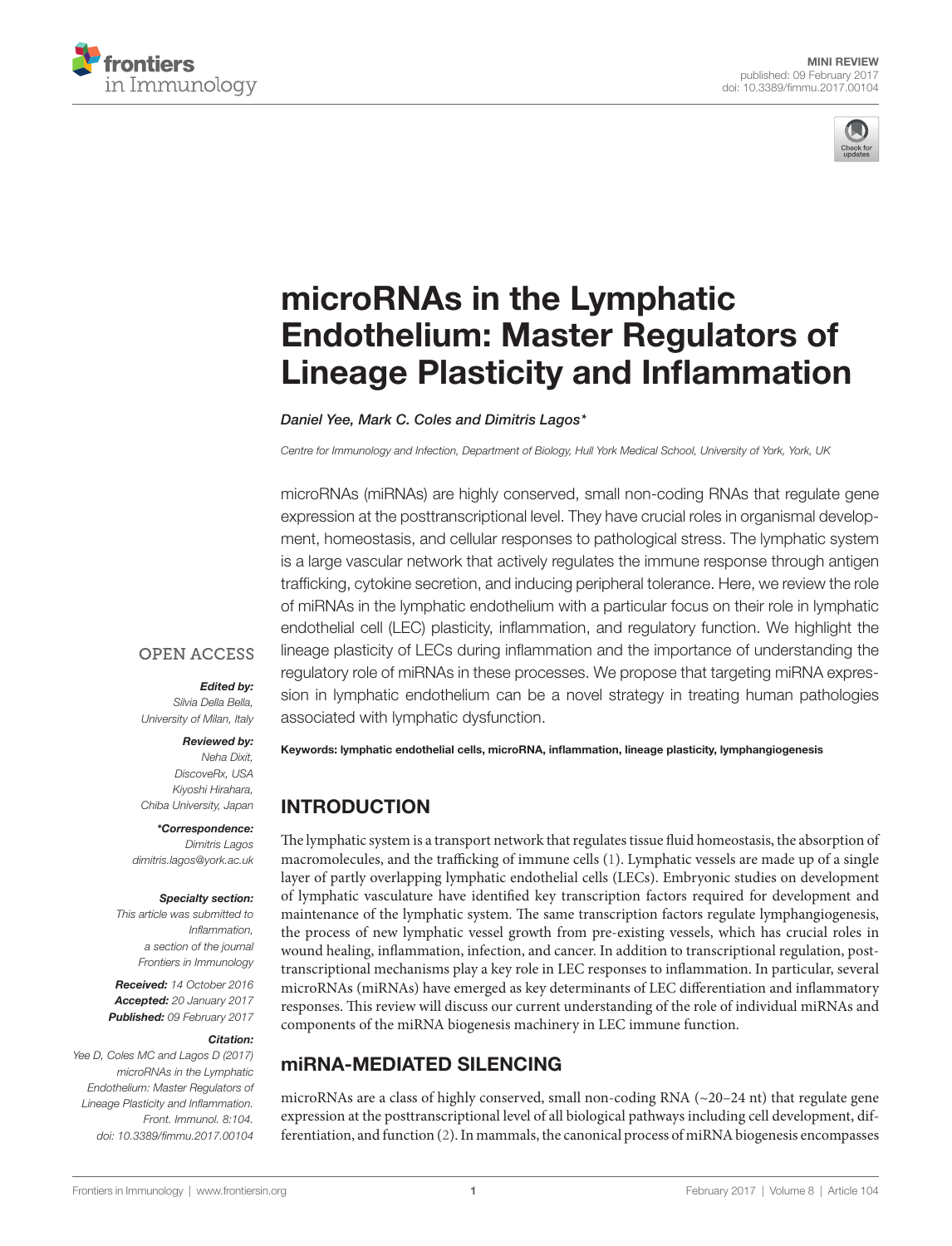



# microRNAs in the Lymphatic **Endothelium: Master Regulators of** Lineage Plasticity and inflammation

Daniel Yee, Mark C. Coles and Dimitris Lagos\*

Centre for Immunology and Infection, Department of Biology, Hull York Medical School, University of York, York, UK

microRNAs (miRNAs) are highly conserved, small non-coding RNAs that regulate gene expression at the posttranscriptional level. They have crucial roles in organismal development, homeostasis, and cellular responses to pathological stress. The lymphatic system is a large vascular network that actively regulates the immune response through antigen trafficking, cytokine secretion, and inducing peripheral tolerance. Here, we review the role of miRNAs in the lymphatic endothelium with a particular focus on their role in lymphatic endothelial cell (LEC) plasticity, inflammation, and regulatory function. We highlight the lineage plasticity of LECs during inflammation and the importance of understanding the regulatory role of miRNAs in these processes. We propose that targeting miRNA expression in lymphatic endothelium can be a novel strategy in treating human pathologies associated with lymphatic dysfunction.

#### **OPEN ACCESS**

#### Edited by:

Silvia Della Bella, University of Milan, Italy

#### Reviewed by:

Neha Dixit, DiscoveRx, USA Kiyoshi Hirahara, Chiba University, Japan

\*Correspondence: Dimitris Lagos dimitris.lagos@york.ac.uk

#### Specialty section:

This article was submitted to Inflammation, a section of the journal Frontiers in Immunology

Received: 14 October 2016 Accepted: 20 January 2017 Published: 09 February 2017

#### Citation:

Yee D, Coles MC and Lagos D (2017) microRNAs in the Lymphatic Endothelium: Master Regulators of Lineage Plasticity and Inflammation. Front. Immunol. 8:104. doi: 10.3389/fimmu.2017.00104 Keywords: lymphatic endothelial cells, microRnA, inflammation, lineage plasticity, lymphangiogenesis

#### inTRODUCTiOn

The lymphatic system is a transport network that regulates tissue fluid homeostasis, the absorption of macromolecules, and the trafficking of immune cells (1). Lymphatic vessels are made up of a single layer of partly overlapping lymphatic endothelial cells (LECs). Embryonic studies on development of lymphatic vasculature have identified key transcription factors required for development and maintenance of the lymphatic system. The same transcription factors regulate lymphangiogenesis, the process of new lymphatic vessel growth from pre-existing vessels, which has crucial roles in wound healing, inflammation, infection, and cancer. In addition to transcriptional regulation, posttranscriptional mechanisms play a key role in LEC responses to inflammation. In particular, several microRNAs (miRNAs) have emerged as key determinants of LEC differentiation and inflammatory responses. This review will discuss our current understanding of the role of individual miRNAs and components of the miRNA biogenesis machinery in LEC immune function.

## miRnA-MeDiATeD SiLenCinG

microRNAs are a class of highly conserved, small non-coding RNA (~20–24 nt) that regulate gene expression at the posttranscriptional level of all biological pathways including cell development, differentiation, and function (2). In mammals, the canonical process of miRNA biogenesis encompasses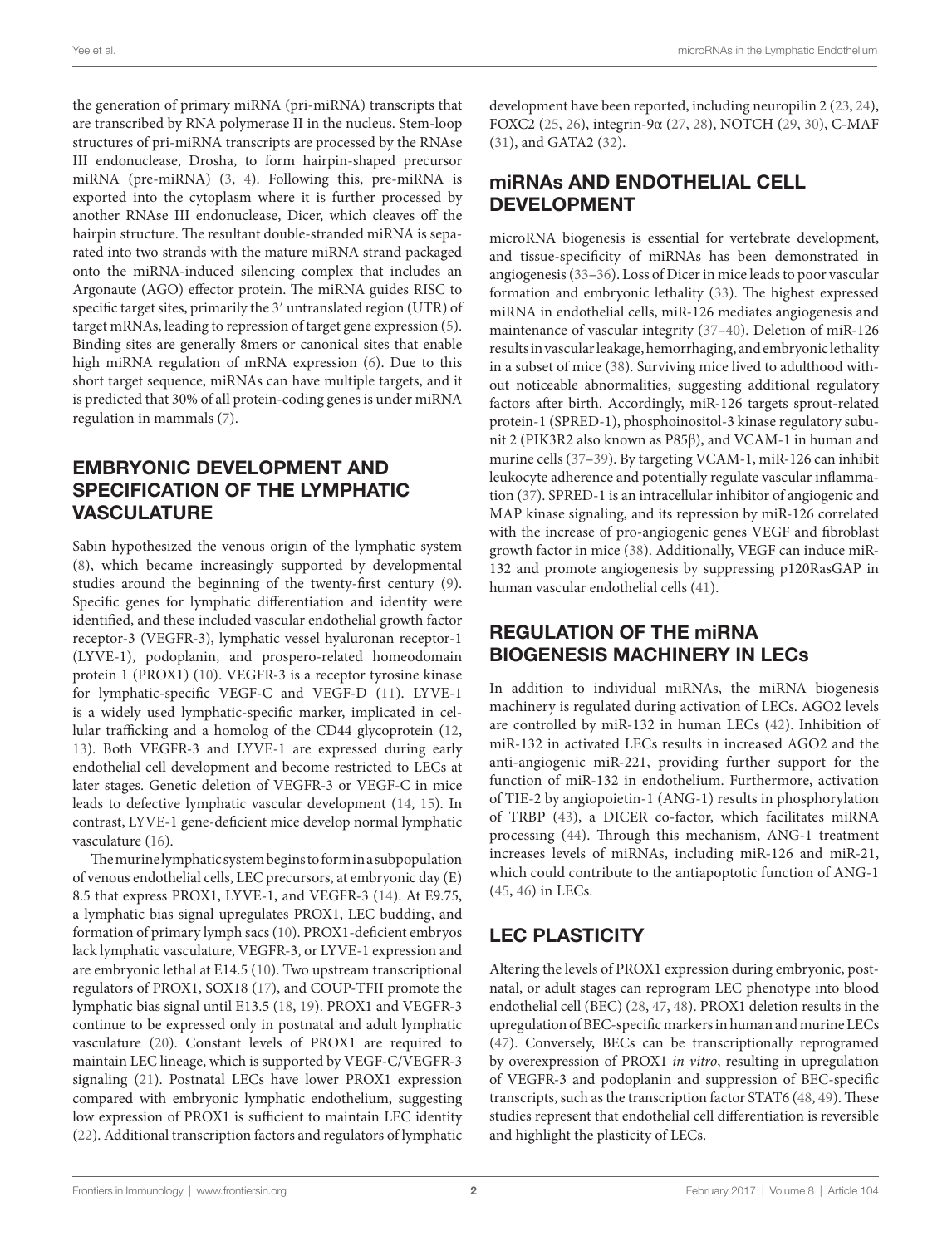the generation of primary miRNA (pri-miRNA) transcripts that are transcribed by RNA polymerase II in the nucleus. Stem-loop structures of pri-miRNA transcripts are processed by the RNAse III endonuclease, Drosha, to form hairpin-shaped precursor miRNA (pre-miRNA) (3, 4). Following this, pre-miRNA is exported into the cytoplasm where it is further processed by another RNAse III endonuclease, Dicer, which cleaves off the hairpin structure. The resultant double-stranded miRNA is separated into two strands with the mature miRNA strand packaged onto the miRNA-induced silencing complex that includes an Argonaute (AGO) effector protein. The miRNA guides RISC to specific target sites, primarily the 3′ untranslated region (UTR) of target mRNAs, leading to repression of target gene expression (5). Binding sites are generally 8mers or canonical sites that enable high miRNA regulation of mRNA expression (6). Due to this short target sequence, miRNAs can have multiple targets, and it is predicted that 30% of all protein-coding genes is under miRNA regulation in mammals (7).

## eMBRYOniC DeveLOPMenT AnD SPeCiFiCATiOn OF THe LYMPHATiC **VASCULATURE**

Sabin hypothesized the venous origin of the lymphatic system (8), which became increasingly supported by developmental studies around the beginning of the twenty-first century (9). Specific genes for lymphatic differentiation and identity were identified, and these included vascular endothelial growth factor receptor-3 (VEGFR-3), lymphatic vessel hyaluronan receptor-1 (LYVE-1), podoplanin, and prospero-related homeodomain protein 1 (PROX1) (10). VEGFR-3 is a receptor tyrosine kinase for lymphatic-specific VEGF-C and VEGF-D (11). LYVE-1 is a widely used lymphatic-specific marker, implicated in cellular trafficking and a homolog of the CD44 glycoprotein (12, 13). Both VEGFR-3 and LYVE-1 are expressed during early endothelial cell development and become restricted to LECs at later stages. Genetic deletion of VEGFR-3 or VEGF-C in mice leads to defective lymphatic vascular development (14, 15). In contrast, LYVE-1 gene-deficient mice develop normal lymphatic vasculature (16).

The murine lymphatic system begins to form in a subpopulation of venous endothelial cells, LEC precursors, at embryonic day (E) 8.5 that express PROX1, LYVE-1, and VEGFR-3 (14). At E9.75, a lymphatic bias signal upregulates PROX1, LEC budding, and formation of primary lymph sacs (10). PROX1-deficient embryos lack lymphatic vasculature, VEGFR-3, or LYVE-1 expression and are embryonic lethal at E14.5 (10). Two upstream transcriptional regulators of PROX1, SOX18 (17), and COUP-TFII promote the lymphatic bias signal until E13.5 (18, 19). PROX1 and VEGFR-3 continue to be expressed only in postnatal and adult lymphatic vasculature (20). Constant levels of PROX1 are required to maintain LEC lineage, which is supported by VEGF-C/VEGFR-3 signaling (21). Postnatal LECs have lower PROX1 expression compared with embryonic lymphatic endothelium, suggesting low expression of PROX1 is sufficient to maintain LEC identity (22). Additional transcription factors and regulators of lymphatic development have been reported, including neuropilin 2 (23, 24), FOXC2 (25, 26), integrin-9α (27, 28), NOTCH (29, 30), C-MAF (31), and GATA2 (32).

#### miRnAs AnD enDOTHeLiAL CeLL **DEVELOPMENT**

microRNA biogenesis is essential for vertebrate development, and tissue-specificity of miRNAs has been demonstrated in angiogenesis (33–36). Loss of Dicer in mice leads to poor vascular formation and embryonic lethality (33). The highest expressed miRNA in endothelial cells, miR-126 mediates angiogenesis and maintenance of vascular integrity (37–40). Deletion of miR-126 results in vascular leakage, hemorrhaging, and embryonic lethality in a subset of mice (38). Surviving mice lived to adulthood without noticeable abnormalities, suggesting additional regulatory factors after birth. Accordingly, miR-126 targets sprout-related protein-1 (SPRED-1), phosphoinositol-3 kinase regulatory subunit 2 (PIK3R2 also known as P85β), and VCAM-1 in human and murine cells (37–39). By targeting VCAM-1, miR-126 can inhibit leukocyte adherence and potentially regulate vascular inflammation (37). SPRED-1 is an intracellular inhibitor of angiogenic and MAP kinase signaling, and its repression by miR-126 correlated with the increase of pro-angiogenic genes VEGF and fibroblast growth factor in mice (38). Additionally, VEGF can induce miR-132 and promote angiogenesis by suppressing p120RasGAP in human vascular endothelial cells (41).

## ReGULATiOn OF THe miRnA BiOGeneSiS MACHineRY in LeCs

In addition to individual miRNAs, the miRNA biogenesis machinery is regulated during activation of LECs. AGO2 levels are controlled by miR-132 in human LECs (42). Inhibition of miR-132 in activated LECs results in increased AGO2 and the anti-angiogenic miR-221, providing further support for the function of miR-132 in endothelium. Furthermore, activation of TIE-2 by angiopoietin-1 (ANG-1) results in phosphorylation of TRBP (43), a DICER co-factor, which facilitates miRNA processing (44). Through this mechanism, ANG-1 treatment increases levels of miRNAs, including miR-126 and miR-21, which could contribute to the antiapoptotic function of ANG-1 (45, 46) in LECs.

# LeC PLASTiCiTY

Altering the levels of PROX1 expression during embryonic, postnatal, or adult stages can reprogram LEC phenotype into blood endothelial cell (BEC) (28, 47, 48). PROX1 deletion results in the upregulation of BEC-specific markers in human and murine LECs (47). Conversely, BECs can be transcriptionally reprogramed by overexpression of PROX1 in vitro, resulting in upregulation of VEGFR-3 and podoplanin and suppression of BEC-specific transcripts, such as the transcription factor STAT6 (48, 49). These studies represent that endothelial cell differentiation is reversible and highlight the plasticity of LECs.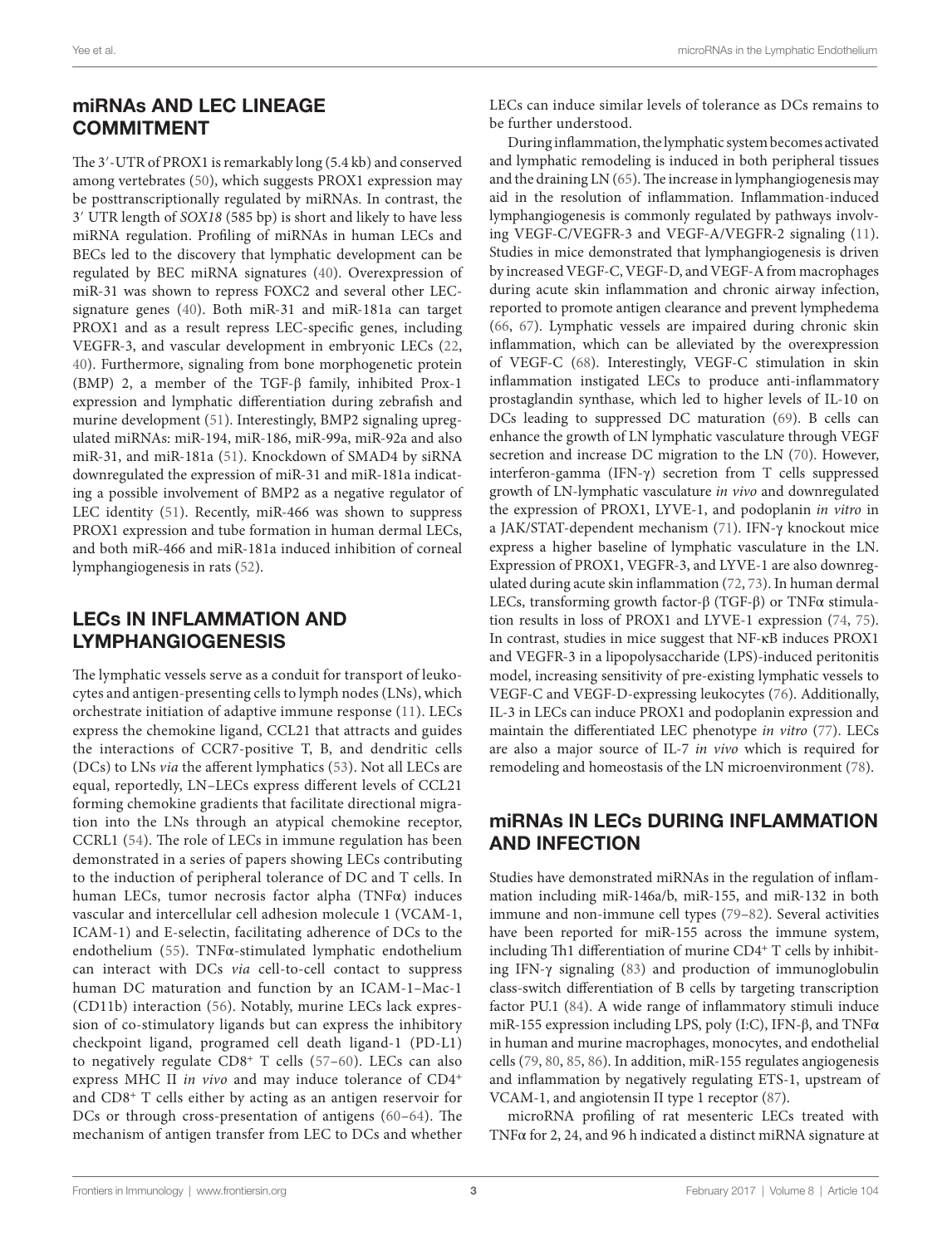#### miRnAs AnD LeC LineAGe **COMMITMENT**

The 3′-UTR of PROX1 is remarkably long (5.4 kb) and conserved among vertebrates (50), which suggests PROX1 expression may be posttranscriptionally regulated by miRNAs. In contrast, the 3′ UTR length of SOX18 (585 bp) is short and likely to have less miRNA regulation. Profiling of miRNAs in human LECs and BECs led to the discovery that lymphatic development can be regulated by BEC miRNA signatures (40). Overexpression of miR-31 was shown to repress FOXC2 and several other LECsignature genes (40). Both miR-31 and miR-181a can target PROX1 and as a result repress LEC-specific genes, including VEGFR-3, and vascular development in embryonic LECs (22, 40). Furthermore, signaling from bone morphogenetic protein (BMP) 2, a member of the TGF-β family, inhibited Prox-1 expression and lymphatic differentiation during zebrafish and murine development (51). Interestingly, BMP2 signaling upregulated miRNAs: miR-194, miR-186, miR-99a, miR-92a and also miR-31, and miR-181a (51). Knockdown of SMAD4 by siRNA downregulated the expression of miR-31 and miR-181a indicating a possible involvement of BMP2 as a negative regulator of LEC identity (51). Recently, miR-466 was shown to suppress PROX1 expression and tube formation in human dermal LECs, and both miR-466 and miR-181a induced inhibition of corneal lymphangiogenesis in rats (52).

## LeCs in inFLAMMATiOn AnD LYMPHAnGiOGeneSiS

The lymphatic vessels serve as a conduit for transport of leukocytes and antigen-presenting cells to lymph nodes (LNs), which orchestrate initiation of adaptive immune response (11). LECs express the chemokine ligand, CCL21 that attracts and guides the interactions of CCR7-positive T, B, and dendritic cells (DCs) to LNs via the afferent lymphatics (53). Not all LECs are equal, reportedly, LN–LECs express different levels of CCL21 forming chemokine gradients that facilitate directional migration into the LNs through an atypical chemokine receptor, CCRL1 (54). The role of LECs in immune regulation has been demonstrated in a series of papers showing LECs contributing to the induction of peripheral tolerance of DC and T cells. In human LECs, tumor necrosis factor alpha (TNFα) induces vascular and intercellular cell adhesion molecule 1 (VCAM-1, ICAM-1) and E-selectin, facilitating adherence of DCs to the endothelium (55). TNFα-stimulated lymphatic endothelium can interact with DCs via cell-to-cell contact to suppress human DC maturation and function by an ICAM-1–Mac-1 (CD11b) interaction (56). Notably, murine LECs lack expression of co-stimulatory ligands but can express the inhibitory checkpoint ligand, programed cell death ligand-1 (PD-L1) to negatively regulate CD8<sup>+</sup> T cells (57–60). LECs can also express MHC II in vivo and may induce tolerance of CD4<sup>+</sup> and CD8<sup>+</sup> T cells either by acting as an antigen reservoir for DCs or through cross-presentation of antigens (60–64). The mechanism of antigen transfer from LEC to DCs and whether

LECs can induce similar levels of tolerance as DCs remains to be further understood.

During inflammation, the lymphatic system becomes activated and lymphatic remodeling is induced in both peripheral tissues and the draining LN (65). The increase in lymphangiogenesis may aid in the resolution of inflammation. Inflammation-induced lymphangiogenesis is commonly regulated by pathways involving VEGF-C/VEGFR-3 and VEGF-A/VEGFR-2 signaling (11). Studies in mice demonstrated that lymphangiogenesis is driven by increased VEGF-C, VEGF-D, and VEGF-A from macrophages during acute skin inflammation and chronic airway infection, reported to promote antigen clearance and prevent lymphedema (66, 67). Lymphatic vessels are impaired during chronic skin inflammation, which can be alleviated by the overexpression of VEGF-C (68). Interestingly, VEGF-C stimulation in skin inflammation instigated LECs to produce anti-inflammatory prostaglandin synthase, which led to higher levels of IL-10 on DCs leading to suppressed DC maturation (69). B cells can enhance the growth of LN lymphatic vasculature through VEGF secretion and increase DC migration to the LN (70). However, interferon-gamma (IFN-γ) secretion from T cells suppressed growth of LN-lymphatic vasculature in vivo and downregulated the expression of PROX1, LYVE-1, and podoplanin in vitro in a JAK/STAT-dependent mechanism (71). IFN-γ knockout mice express a higher baseline of lymphatic vasculature in the LN. Expression of PROX1, VEGFR-3, and LYVE-1 are also downregulated during acute skin inflammation (72, 73). In human dermal LECs, transforming growth factor-β (TGF-β) or TNFα stimulation results in loss of PROX1 and LYVE-1 expression (74, 75). In contrast, studies in mice suggest that NF-κB induces PROX1 and VEGFR-3 in a lipopolysaccharide (LPS)-induced peritonitis model, increasing sensitivity of pre-existing lymphatic vessels to VEGF-C and VEGF-D-expressing leukocytes (76). Additionally, IL-3 in LECs can induce PROX1 and podoplanin expression and maintain the differentiated LEC phenotype in vitro (77). LECs are also a major source of IL-7 in vivo which is required for remodeling and homeostasis of the LN microenvironment (78).

### miRnAs in LeCs DURinG inFLAMMATiOn AnD inFeCTiOn

Studies have demonstrated miRNAs in the regulation of inflammation including miR-146a/b, miR-155, and miR-132 in both immune and non-immune cell types (79–82). Several activities have been reported for miR-155 across the immune system, including Th1 differentiation of murine CD4<sup>+</sup> T cells by inhibiting IFN-γ signaling (83) and production of immunoglobulin class-switch differentiation of B cells by targeting transcription factor PU.1 (84). A wide range of inflammatory stimuli induce miR-155 expression including LPS, poly (I:C), IFN- $\beta$ , and TNF $\alpha$ in human and murine macrophages, monocytes, and endothelial cells (79, 80, 85, 86). In addition, miR-155 regulates angiogenesis and inflammation by negatively regulating ETS-1, upstream of VCAM-1, and angiotensin II type 1 receptor (87).

microRNA profiling of rat mesenteric LECs treated with TNFα for 2, 24, and 96 h indicated a distinct miRNA signature at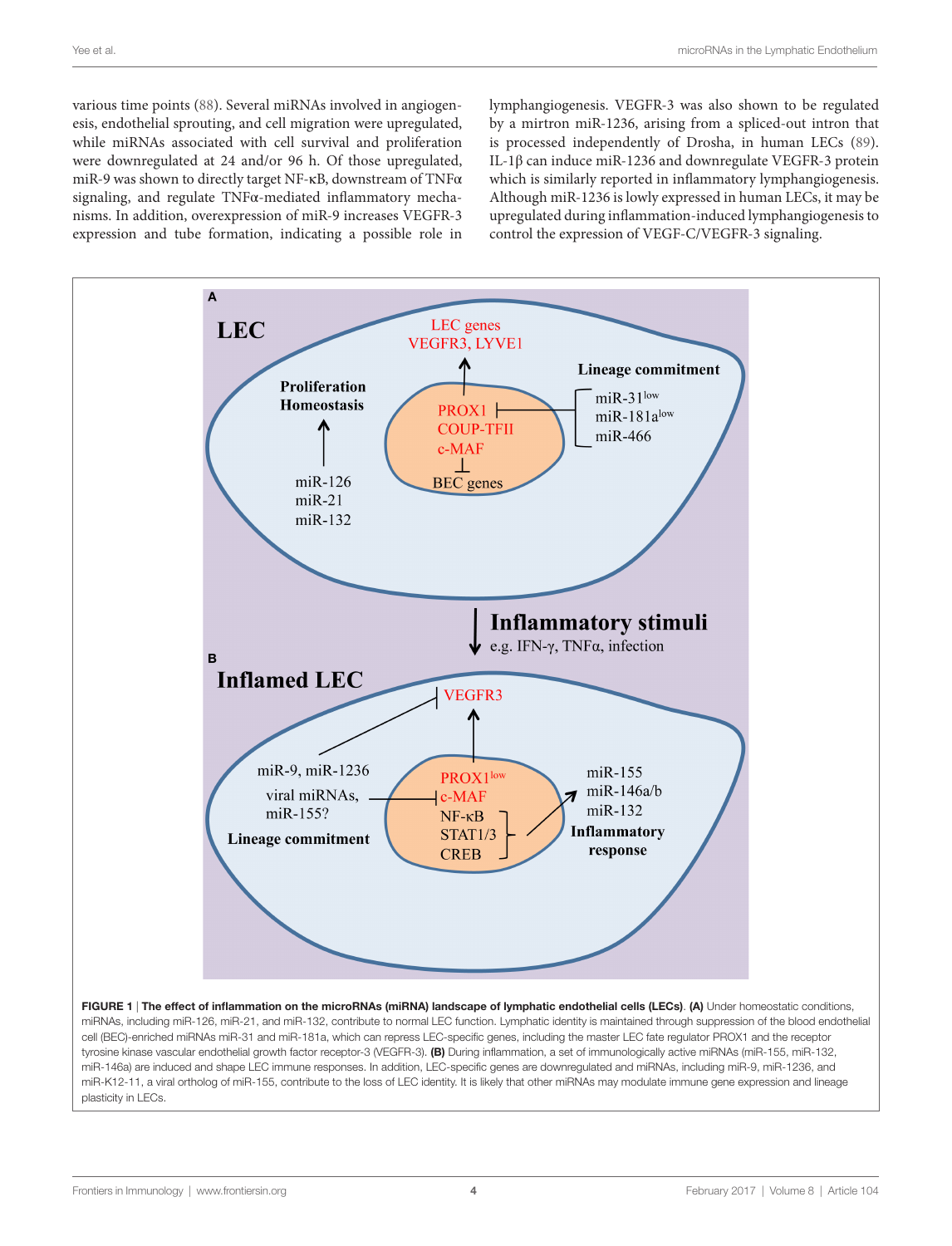various time points (88). Several miRNAs involved in angiogenesis, endothelial sprouting, and cell migration were upregulated, while miRNAs associated with cell survival and proliferation were downregulated at 24 and/or 96 h. Of those upregulated, miR-9 was shown to directly target NF-κB, downstream of TNFα signaling, and regulate TNFα-mediated inflammatory mechanisms. In addition, overexpression of miR-9 increases VEGFR-3 expression and tube formation, indicating a possible role in

lymphangiogenesis. VEGFR-3 was also shown to be regulated by a mirtron miR-1236, arising from a spliced-out intron that is processed independently of Drosha, in human LECs (89). IL-1β can induce miR-1236 and downregulate VEGFR-3 protein which is similarly reported in inflammatory lymphangiogenesis. Although miR-1236 is lowly expressed in human LECs, it may be upregulated during inflammation-induced lymphangiogenesis to control the expression of VEGF-C/VEGFR-3 signaling.



FIGURE 1 | The effect of inflammation on the microRNAs (miRNA) landscape of lymphatic endothelial cells (LECs). (A) Under homeostatic conditions, miRNAs, including miR-126, miR-21, and miR-132, contribute to normal LEC function. Lymphatic identity is maintained through suppression of the blood endothelial cell (BEC)-enriched miRNAs miR-31 and miR-181a, which can repress LEC-specific genes, including the master LEC fate regulator PROX1 and the receptor tyrosine kinase vascular endothelial growth factor receptor-3 (VEGFR-3). (B) During inflammation, a set of immunologically active miRNAs (miR-155, miR-132, miR-146a) are induced and shape LEC immune responses. In addition, LEC-specific genes are downregulated and miRNAs, including miR-9, miR-1236, and miR-K12-11, a viral ortholog of miR-155, contribute to the loss of LEC identity. It is likely that other miRNAs may modulate immune gene expression and lineage plasticity in LECs.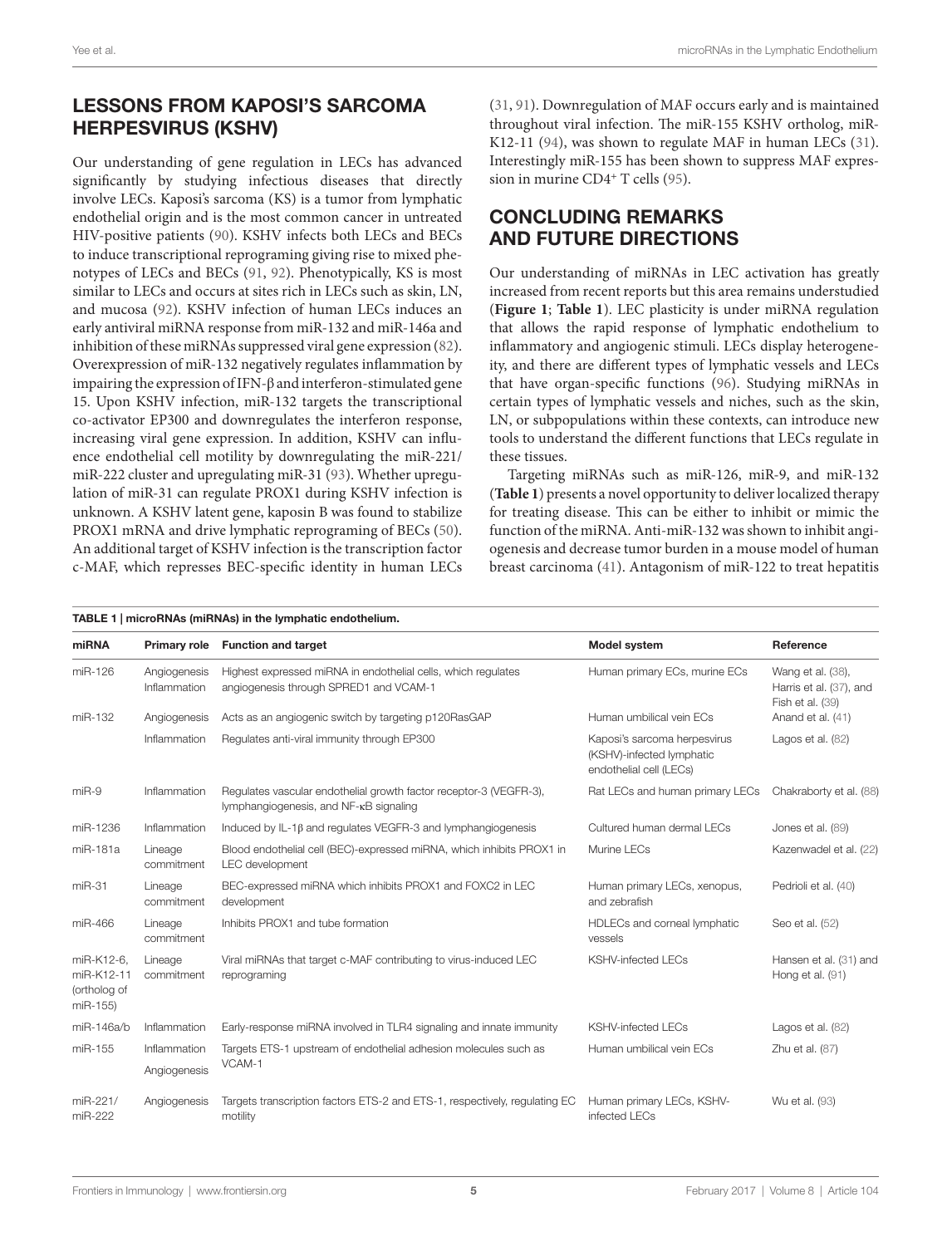## LeSSOnS FROM KAPOSi'S SARCOMA HeRPeSviRUS (KSHv)

Our understanding of gene regulation in LECs has advanced significantly by studying infectious diseases that directly involve LECs. Kaposi's sarcoma (KS) is a tumor from lymphatic endothelial origin and is the most common cancer in untreated HIV-positive patients (90). KSHV infects both LECs and BECs to induce transcriptional reprograming giving rise to mixed phenotypes of LECs and BECs (91, 92). Phenotypically, KS is most similar to LECs and occurs at sites rich in LECs such as skin, LN, and mucosa (92). KSHV infection of human LECs induces an early antiviral miRNA response from miR-132 and miR-146a and inhibition of these miRNAs suppressed viral gene expression (82). Overexpression of miR-132 negatively regulates inflammation by impairing the expression of IFN-β and interferon-stimulated gene 15. Upon KSHV infection, miR-132 targets the transcriptional co-activator EP300 and downregulates the interferon response, increasing viral gene expression. In addition, KSHV can influence endothelial cell motility by downregulating the miR-221/ miR-222 cluster and upregulating miR-31 (93). Whether upregulation of miR-31 can regulate PROX1 during KSHV infection is unknown. A KSHV latent gene, kaposin B was found to stabilize PROX1 mRNA and drive lymphatic reprograming of BECs (50). An additional target of KSHV infection is the transcription factor c-MAF, which represses BEC-specific identity in human LECs (31, 91). Downregulation of MAF occurs early and is maintained throughout viral infection. The miR-155 KSHV ortholog, miR-K12-11 (94), was shown to regulate MAF in human LECs (31). Interestingly miR-155 has been shown to suppress MAF expression in murine CD4<sup>+</sup> T cells (95).

# COnCLUDinG ReMARKS AnD FUTURe DiReCTiOnS

Our understanding of miRNAs in LEC activation has greatly increased from recent reports but this area remains understudied (**Figure 1**; **Table 1**). LEC plasticity is under miRNA regulation that allows the rapid response of lymphatic endothelium to inflammatory and angiogenic stimuli. LECs display heterogeneity, and there are different types of lymphatic vessels and LECs that have organ-specific functions (96). Studying miRNAs in certain types of lymphatic vessels and niches, such as the skin, LN, or subpopulations within these contexts, can introduce new tools to understand the different functions that LECs regulate in these tissues.

Targeting miRNAs such as miR-126, miR-9, and miR-132 (**Table 1**) presents a novel opportunity to deliver localized therapy for treating disease. This can be either to inhibit or mimic the function of the miRNA. Anti-miR-132 was shown to inhibit angiogenesis and decrease tumor burden in a mouse model of human breast carcinoma (41). Antagonism of miR-122 to treat hepatitis

| TABLE 1   microRNAs (miRNAs) in the lymphatic endothelium. |                              |                                                                                                              |                                                                                      |                                                                  |
|------------------------------------------------------------|------------------------------|--------------------------------------------------------------------------------------------------------------|--------------------------------------------------------------------------------------|------------------------------------------------------------------|
| miRNA                                                      |                              | Primary role Function and target                                                                             | <b>Model system</b>                                                                  | Reference                                                        |
| miR-126                                                    | Angiogenesis<br>Inflammation | Highest expressed miRNA in endothelial cells, which regulates<br>angiogenesis through SPRED1 and VCAM-1      | Human primary ECs, murine ECs                                                        | Wang et al. (38),<br>Harris et al. (37), and<br>Fish et al. (39) |
| miR-132                                                    | Angiogenesis                 | Acts as an angiogenic switch by targeting p120RasGAP                                                         | Human umbilical vein ECs                                                             | Anand et al. (41)                                                |
|                                                            | Inflammation                 | Regulates anti-viral immunity through EP300                                                                  | Kaposi's sarcoma herpesvirus<br>(KSHV)-infected lymphatic<br>endothelial cell (LECs) | Lagos et al. (82)                                                |
| $miR-9$                                                    | Inflammation                 | Regulates vascular endothelial growth factor receptor-3 (VEGFR-3),<br>lymphangiogenesis, and NF-KB signaling | Rat LECs and human primary LECs                                                      | Chakraborty et al. (88)                                          |
| miR-1236                                                   | Inflammation                 | Induced by IL-1 $\beta$ and regulates VEGFR-3 and lymphangiogenesis                                          | Cultured human dermal LECs                                                           | Jones et al. (89)                                                |
| miR-181a                                                   | Lineage<br>commitment        | Blood endothelial cell (BEC)-expressed miRNA, which inhibits PROX1 in<br>LEC development                     | Murine LECs                                                                          | Kazenwadel et al. (22)                                           |
| $miR-31$                                                   | Lineage<br>commitment        | BEC-expressed miRNA which inhibits PROX1 and FOXC2 in LEC<br>development                                     | Human primary LECs, xenopus,<br>and zebrafish                                        | Pedrioli et al. (40)                                             |
| miR-466                                                    | Lineage<br>commitment        | Inhibits PROX1 and tube formation                                                                            | HDLECs and corneal lymphatic<br>vessels                                              | Seo et al. (52)                                                  |
| miR-K12-6,<br>miR-K12-11<br>(ortholog of<br>miR-155)       | Lineage<br>commitment        | Viral miRNAs that target c-MAF contributing to virus-induced LEC<br>reprograming                             | <b>KSHV-infected LECs</b>                                                            | Hansen et al. (31) and<br>Hong et al. (91)                       |
| miR-146a/b                                                 | Inflammation                 | Early-response miRNA involved in TLR4 signaling and innate immunity                                          | <b>KSHV-infected LECs</b>                                                            | Lagos et al. (82)                                                |
| miR-155                                                    | Inflammation                 | Targets ETS-1 upstream of endothelial adhesion molecules such as<br>VCAM-1                                   | Human umbilical vein ECs                                                             | Zhu et al. (87)                                                  |
|                                                            | Angiogenesis                 |                                                                                                              |                                                                                      |                                                                  |
| miR-221/<br>miR-222                                        | Angiogenesis                 | Targets transcription factors ETS-2 and ETS-1, respectively, regulating EC<br>motility                       | Human primary LECs, KSHV-<br>infected LECs                                           | Wu et al. (93)                                                   |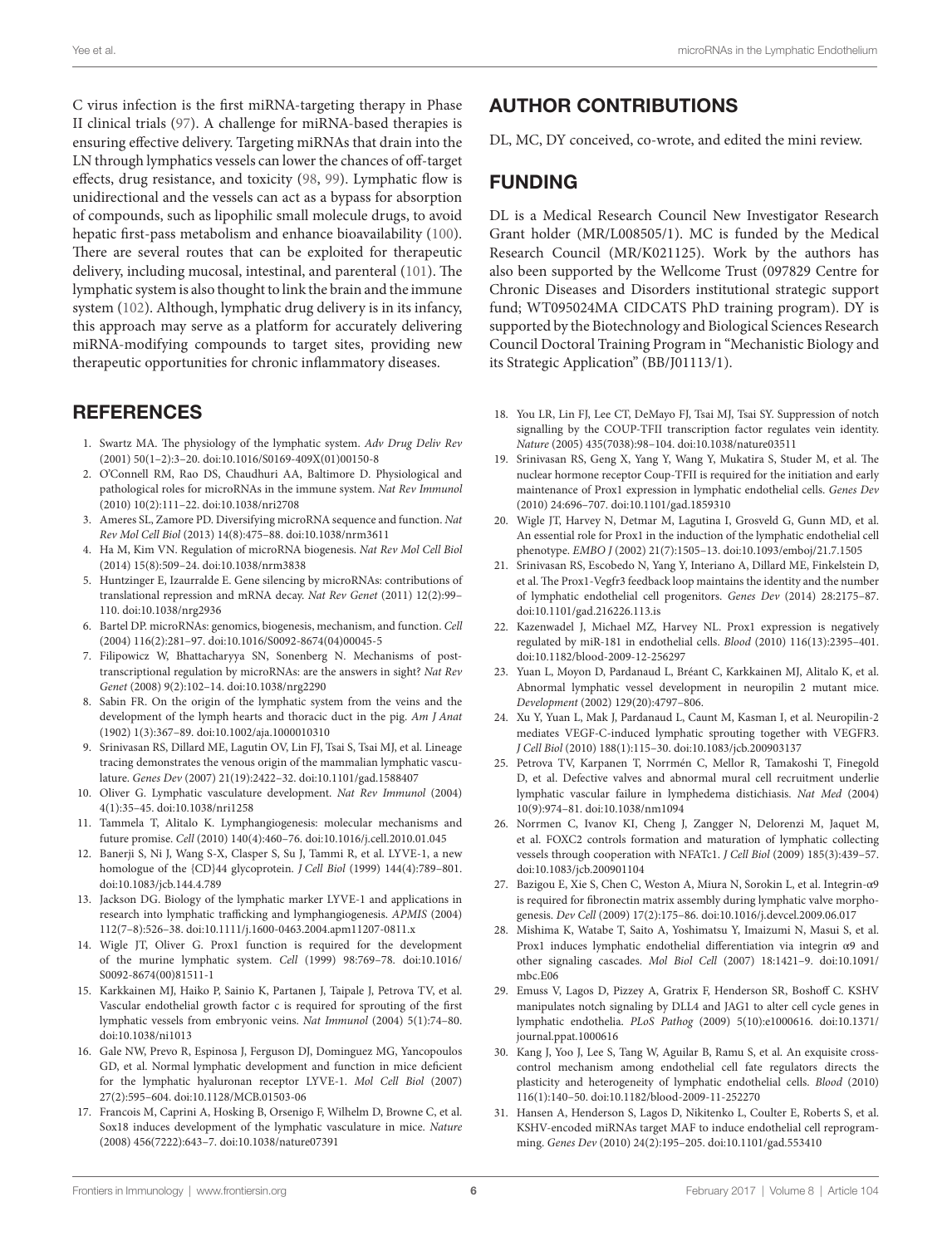C virus infection is the first miRNA-targeting therapy in Phase II clinical trials (97). A challenge for miRNA-based therapies is ensuring effective delivery. Targeting miRNAs that drain into the LN through lymphatics vessels can lower the chances of off-target effects, drug resistance, and toxicity (98, 99). Lymphatic flow is unidirectional and the vessels can act as a bypass for absorption of compounds, such as lipophilic small molecule drugs, to avoid hepatic first-pass metabolism and enhance bioavailability (100). There are several routes that can be exploited for therapeutic delivery, including mucosal, intestinal, and parenteral (101). The lymphatic system is also thought to link the brain and the immune system (102). Although, lymphatic drug delivery is in its infancy, this approach may serve as a platform for accurately delivering miRNA-modifying compounds to target sites, providing new therapeutic opportunities for chronic inflammatory diseases.

#### **REFERENCES**

- 1. Swartz MA. The physiology of the lymphatic system. Adv Drug Deliv Rev (2001) 50(1–2):3–20. doi:10.1016/S0169-409X(01)00150-8
- 2. O'Connell RM, Rao DS, Chaudhuri AA, Baltimore D. Physiological and pathological roles for microRNAs in the immune system. Nat Rev Immunol (2010) 10(2):111–22. doi:10.1038/nri2708
- 3. Ameres SL, Zamore PD. Diversifying microRNA sequence and function. Nat Rev Mol Cell Biol (2013) 14(8):475–88. doi:10.1038/nrm3611
- 4. Ha M, Kim VN. Regulation of microRNA biogenesis. Nat Rev Mol Cell Biol (2014) 15(8):509–24. doi:10.1038/nrm3838
- 5. Huntzinger E, Izaurralde E. Gene silencing by microRNAs: contributions of translational repression and mRNA decay. Nat Rev Genet (2011) 12(2):99– 110. doi:10.1038/nrg2936
- 6. Bartel DP. microRNAs: genomics, biogenesis, mechanism, and function. Cell (2004) 116(2):281–97. doi:10.1016/S0092-8674(04)00045-5
- 7. Filipowicz W, Bhattacharyya SN, Sonenberg N. Mechanisms of posttranscriptional regulation by microRNAs: are the answers in sight? Nat Rev Genet (2008) 9(2):102–14. doi:10.1038/nrg2290
- 8. Sabin FR. On the origin of the lymphatic system from the veins and the development of the lymph hearts and thoracic duct in the pig. Am J Anat (1902) 1(3):367–89. doi:10.1002/aja.1000010310
- 9. Srinivasan RS, Dillard ME, Lagutin OV, Lin FJ, Tsai S, Tsai MJ, et al. Lineage tracing demonstrates the venous origin of the mammalian lymphatic vasculature. Genes Dev (2007) 21(19):2422–32. doi:10.1101/gad.1588407
- 10. Oliver G. Lymphatic vasculature development. Nat Rev Immunol (2004) 4(1):35–45. doi:10.1038/nri1258
- 11. Tammela T, Alitalo K. Lymphangiogenesis: molecular mechanisms and future promise. Cell (2010) 140(4):460–76. doi:10.1016/j.cell.2010.01.045
- 12. Banerji S, Ni J, Wang S-X, Clasper S, Su J, Tammi R, et al. LYVE-1, a new homologue of the {CD}44 glycoprotein. J Cell Biol (1999) 144(4):789–801. doi:10.1083/jcb.144.4.789
- 13. Jackson DG. Biology of the lymphatic marker LYVE-1 and applications in research into lymphatic trafficking and lymphangiogenesis. APMIS (2004) 112(7–8):526–38. doi:10.1111/j.1600-0463.2004.apm11207-0811.x
- 14. Wigle JT, Oliver G. Prox1 function is required for the development of the murine lymphatic system. Cell (1999) 98:769–78. doi:10.1016/ S0092-8674(00)81511-1
- 15. Karkkainen MJ, Haiko P, Sainio K, Partanen J, Taipale J, Petrova TV, et al. Vascular endothelial growth factor c is required for sprouting of the first lymphatic vessels from embryonic veins. Nat Immunol (2004) 5(1):74–80. doi:10.1038/ni1013
- 16. Gale NW, Prevo R, Espinosa J, Ferguson DJ, Dominguez MG, Yancopoulos GD, et al. Normal lymphatic development and function in mice deficient for the lymphatic hyaluronan receptor LYVE-1. Mol Cell Biol (2007) 27(2):595–604. doi:10.1128/MCB.01503-06
- 17. Francois M, Caprini A, Hosking B, Orsenigo F, Wilhelm D, Browne C, et al. Sox18 induces development of the lymphatic vasculature in mice. Nature (2008) 456(7222):643–7. doi:10.1038/nature07391

# AUTHOR COnTRiBUTiOnS

DL, MC, DY conceived, co-wrote, and edited the mini review.

# **FUNDING**

DL is a Medical Research Council New Investigator Research Grant holder (MR/L008505/1). MC is funded by the Medical Research Council (MR/K021125). Work by the authors has also been supported by the Wellcome Trust (097829 Centre for Chronic Diseases and Disorders institutional strategic support fund; WT095024MA CIDCATS PhD training program). DY is supported by the Biotechnology and Biological Sciences Research Council Doctoral Training Program in "Mechanistic Biology and its Strategic Application" (BB/J01113/1).

- 18. You LR, Lin FJ, Lee CT, DeMayo FJ, Tsai MJ, Tsai SY. Suppression of notch signalling by the COUP-TFII transcription factor regulates vein identity. Nature (2005) 435(7038):98–104. doi:10.1038/nature03511
- 19. Srinivasan RS, Geng X, Yang Y, Wang Y, Mukatira S, Studer M, et al. The nuclear hormone receptor Coup-TFII is required for the initiation and early maintenance of Prox1 expression in lymphatic endothelial cells. Genes Dev (2010) 24:696–707. doi:10.1101/gad.1859310
- 20. Wigle JT, Harvey N, Detmar M, Lagutina I, Grosveld G, Gunn MD, et al. An essential role for Prox1 in the induction of the lymphatic endothelial cell phenotype. EMBO J (2002) 21(7):1505–13. doi:10.1093/emboj/21.7.1505
- 21. Srinivasan RS, Escobedo N, Yang Y, Interiano A, Dillard ME, Finkelstein D, et al. The Prox1-Vegfr3 feedback loop maintains the identity and the number of lymphatic endothelial cell progenitors. Genes Dev (2014) 28:2175–87. doi:10.1101/gad.216226.113.is
- 22. Kazenwadel J, Michael MZ, Harvey NL. Prox1 expression is negatively regulated by miR-181 in endothelial cells. Blood (2010) 116(13):2395–401. doi:10.1182/blood-2009-12-256297
- 23. Yuan L, Moyon D, Pardanaud L, Bréant C, Karkkainen MJ, Alitalo K, et al. Abnormal lymphatic vessel development in neuropilin 2 mutant mice. Development (2002) 129(20):4797–806.
- 24. Xu Y, Yuan L, Mak J, Pardanaud L, Caunt M, Kasman I, et al. Neuropilin-2 mediates VEGF-C-induced lymphatic sprouting together with VEGFR3. J Cell Biol (2010) 188(1):115–30. doi:10.1083/jcb.200903137
- 25. Petrova TV, Karpanen T, Norrmén C, Mellor R, Tamakoshi T, Finegold D, et al. Defective valves and abnormal mural cell recruitment underlie lymphatic vascular failure in lymphedema distichiasis. Nat Med (2004) 10(9):974–81. doi:10.1038/nm1094
- 26. Norrmen C, Ivanov KI, Cheng J, Zangger N, Delorenzi M, Jaquet M, et al. FOXC2 controls formation and maturation of lymphatic collecting vessels through cooperation with NFATc1. J Cell Biol (2009) 185(3):439–57. doi:10.1083/jcb.200901104
- 27. Bazigou E, Xie S, Chen C, Weston A, Miura N, Sorokin L, et al. Integrin-α9 is required for fibronectin matrix assembly during lymphatic valve morphogenesis. Dev Cell (2009) 17(2):175–86. doi:10.1016/j.devcel.2009.06.017
- 28. Mishima K, Watabe T, Saito A, Yoshimatsu Y, Imaizumi N, Masui S, et al. Prox1 induces lymphatic endothelial differentiation via integrin α9 and other signaling cascades. Mol Biol Cell (2007) 18:1421–9. doi:10.1091/ mbc.E06
- 29. Emuss V, Lagos D, Pizzey A, Gratrix F, Henderson SR, Boshoff C. KSHV manipulates notch signaling by DLL4 and JAG1 to alter cell cycle genes in lymphatic endothelia. PLoS Pathog (2009) 5(10):e1000616. doi:10.1371/ journal.ppat.1000616
- 30. Kang J, Yoo J, Lee S, Tang W, Aguilar B, Ramu S, et al. An exquisite crosscontrol mechanism among endothelial cell fate regulators directs the plasticity and heterogeneity of lymphatic endothelial cells. Blood (2010) 116(1):140–50. doi:10.1182/blood-2009-11-252270
- 31. Hansen A, Henderson S, Lagos D, Nikitenko L, Coulter E, Roberts S, et al. KSHV-encoded miRNAs target MAF to induce endothelial cell reprogramming. Genes Dev (2010) 24(2):195–205. doi:10.1101/gad.553410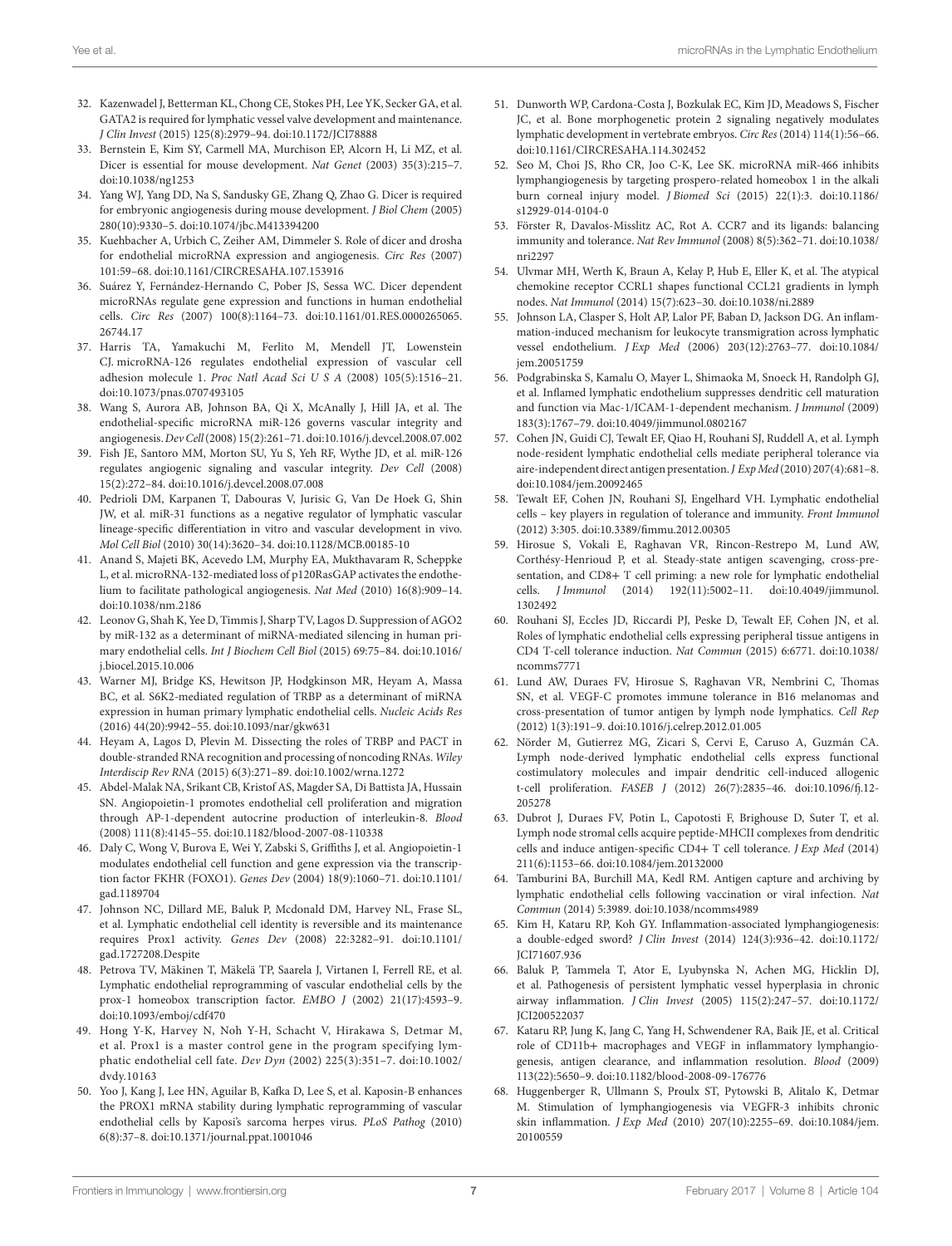- 32. Kazenwadel J, Betterman KL, Chong CE, Stokes PH, Lee YK, Secker GA, et al. GATA2 is required for lymphatic vessel valve development and maintenance. J Clin Invest (2015) 125(8):2979–94. doi:10.1172/JCI78888
- 33. Bernstein E, Kim SY, Carmell MA, Murchison EP, Alcorn H, Li MZ, et al. Dicer is essential for mouse development. Nat Genet (2003) 35(3):215–7. doi:10.1038/ng1253
- 34. Yang WJ, Yang DD, Na S, Sandusky GE, Zhang Q, Zhao G. Dicer is required for embryonic angiogenesis during mouse development. J Biol Chem (2005) 280(10):9330–5. doi:10.1074/jbc.M413394200
- 35. Kuehbacher A, Urbich C, Zeiher AM, Dimmeler S. Role of dicer and drosha for endothelial microRNA expression and angiogenesis. Circ Res (2007) 101:59–68. doi:10.1161/CIRCRESAHA.107.153916
- 36. Suárez Y, Fernández-Hernando C, Pober JS, Sessa WC. Dicer dependent microRNAs regulate gene expression and functions in human endothelial cells. Circ Res (2007) 100(8):1164–73. doi:10.1161/01.RES.0000265065. 26744.17
- 37. Harris TA, Yamakuchi M, Ferlito M, Mendell JT, Lowenstein CJ. microRNA-126 regulates endothelial expression of vascular cell adhesion molecule 1. Proc Natl Acad Sci U S A (2008) 105(5):1516–21. doi:10.1073/pnas.0707493105
- 38. Wang S, Aurora AB, Johnson BA, Qi X, McAnally J, Hill JA, et al. The endothelial-specific microRNA miR-126 governs vascular integrity and angiogenesis. Dev Cell (2008) 15(2):261–71. doi:10.1016/j.devcel.2008.07.002
- 39. Fish JE, Santoro MM, Morton SU, Yu S, Yeh RF, Wythe JD, et al. miR-126 regulates angiogenic signaling and vascular integrity. Dev Cell (2008) 15(2):272–84. doi:10.1016/j.devcel.2008.07.008
- 40. Pedrioli DM, Karpanen T, Dabouras V, Jurisic G, Van De Hoek G, Shin JW, et al. miR-31 functions as a negative regulator of lymphatic vascular lineage-specific differentiation in vitro and vascular development in vivo. Mol Cell Biol (2010) 30(14):3620–34. doi:10.1128/MCB.00185-10
- 41. Anand S, Majeti BK, Acevedo LM, Murphy EA, Mukthavaram R, Scheppke L, et al. microRNA-132-mediated loss of p120RasGAP activates the endothelium to facilitate pathological angiogenesis. Nat Med (2010) 16(8):909–14. doi:10.1038/nm.2186
- 42. Leonov G, Shah K, Yee D, Timmis J, Sharp TV, Lagos D. Suppression of AGO2 by miR-132 as a determinant of miRNA-mediated silencing in human primary endothelial cells. Int J Biochem Cell Biol (2015) 69:75–84. doi:10.1016/ j.biocel.2015.10.006
- 43. Warner MJ, Bridge KS, Hewitson JP, Hodgkinson MR, Heyam A, Massa BC, et al. S6K2-mediated regulation of TRBP as a determinant of miRNA expression in human primary lymphatic endothelial cells. Nucleic Acids Res (2016) 44(20):9942–55. doi:10.1093/nar/gkw631
- 44. Heyam A, Lagos D, Plevin M. Dissecting the roles of TRBP and PACT in double-stranded RNA recognition and processing of noncoding RNAs. Wiley Interdiscip Rev RNA (2015) 6(3):271–89. doi:10.1002/wrna.1272
- 45. Abdel-Malak NA, Srikant CB, Kristof AS, Magder SA, Di Battista JA, Hussain SN. Angiopoietin-1 promotes endothelial cell proliferation and migration through AP-1-dependent autocrine production of interleukin-8. Blood (2008) 111(8):4145–55. doi:10.1182/blood-2007-08-110338
- 46. Daly C, Wong V, Burova E, Wei Y, Zabski S, Griffiths J, et al. Angiopoietin-1 modulates endothelial cell function and gene expression via the transcription factor FKHR (FOXO1). Genes Dev (2004) 18(9):1060–71. doi:10.1101/ gad.1189704
- 47. Johnson NC, Dillard ME, Baluk P, Mcdonald DM, Harvey NL, Frase SL, et al. Lymphatic endothelial cell identity is reversible and its maintenance requires Prox1 activity. Genes Dev (2008) 22:3282–91. doi:10.1101/ gad.1727208.Despite
- 48. Petrova TV, Mäkinen T, Mäkelä TP, Saarela J, Virtanen I, Ferrell RE, et al. Lymphatic endothelial reprogramming of vascular endothelial cells by the prox-1 homeobox transcription factor. EMBO J (2002) 21(17):4593–9. doi:10.1093/emboj/cdf470
- 49. Hong Y-K, Harvey N, Noh Y-H, Schacht V, Hirakawa S, Detmar M, et al. Prox1 is a master control gene in the program specifying lymphatic endothelial cell fate. Dev Dyn (2002) 225(3):351–7. doi:10.1002/ dvdy.10163
- 50. Yoo J, Kang J, Lee HN, Aguilar B, Kafka D, Lee S, et al. Kaposin-B enhances the PROX1 mRNA stability during lymphatic reprogramming of vascular endothelial cells by Kaposi's sarcoma herpes virus. PLoS Pathog (2010) 6(8):37–8. doi:10.1371/journal.ppat.1001046
- 51. Dunworth WP, Cardona-Costa J, Bozkulak EC, Kim JD, Meadows S, Fischer JC, et al. Bone morphogenetic protein 2 signaling negatively modulates lymphatic development in vertebrate embryos. Circ Res (2014) 114(1):56–66. doi:10.1161/CIRCRESAHA.114.302452
- 52. Seo M, Choi JS, Rho CR, Joo C-K, Lee SK. microRNA miR-466 inhibits lymphangiogenesis by targeting prospero-related homeobox 1 in the alkali burn corneal injury model. J Biomed Sci (2015) 22(1):3. doi:10.1186/ s12929-014-0104-0
- 53. Förster R, Davalos-Misslitz AC, Rot A. CCR7 and its ligands: balancing immunity and tolerance. Nat Rev Immunol (2008) 8(5):362–71. doi:10.1038/ nri2297
- 54. Ulvmar MH, Werth K, Braun A, Kelay P, Hub E, Eller K, et al. The atypical chemokine receptor CCRL1 shapes functional CCL21 gradients in lymph nodes. Nat Immunol (2014) 15(7):623–30. doi:10.1038/ni.2889
- 55. Johnson LA, Clasper S, Holt AP, Lalor PF, Baban D, Jackson DG. An inflammation-induced mechanism for leukocyte transmigration across lymphatic vessel endothelium. J Exp Med (2006) 203(12):2763–77. doi:10.1084/ jem.20051759
- 56. Podgrabinska S, Kamalu O, Mayer L, Shimaoka M, Snoeck H, Randolph GJ, et al. Inflamed lymphatic endothelium suppresses dendritic cell maturation and function via Mac-1/ICAM-1-dependent mechanism. J Immunol (2009) 183(3):1767–79. doi:10.4049/jimmunol.0802167
- 57. Cohen JN, Guidi CJ, Tewalt EF, Qiao H, Rouhani SJ, Ruddell A, et al. Lymph node-resident lymphatic endothelial cells mediate peripheral tolerance via aire-independent direct antigen presentation. J Exp Med (2010) 207(4):681–8. doi:10.1084/jem.20092465
- 58. Tewalt EF, Cohen JN, Rouhani SJ, Engelhard VH. Lymphatic endothelial cells – key players in regulation of tolerance and immunity. Front Immunol (2012) 3:305. doi:10.3389/fimmu.2012.00305
- 59. Hirosue S, Vokali E, Raghavan VR, Rincon-Restrepo M, Lund AW, Corthésy-Henrioud P, et al. Steady-state antigen scavenging, cross-presentation, and CD8+ T cell priming: a new role for lymphatic endothelial cells. J Immunol (2014) 192(11):5002–11. doi:10.4049/jimmunol. 1302492
- 60. Rouhani SJ, Eccles JD, Riccardi PJ, Peske D, Tewalt EF, Cohen JN, et al. Roles of lymphatic endothelial cells expressing peripheral tissue antigens in CD4 T-cell tolerance induction. Nat Commun (2015) 6:6771. doi:10.1038/ ncomms7771
- 61. Lund AW, Duraes FV, Hirosue S, Raghavan VR, Nembrini C, Thomas SN, et al. VEGF-C promotes immune tolerance in B16 melanomas and cross-presentation of tumor antigen by lymph node lymphatics. Cell Rep (2012) 1(3):191–9. doi:10.1016/j.celrep.2012.01.005
- 62. Nörder M, Gutierrez MG, Zicari S, Cervi E, Caruso A, Guzmán CA. Lymph node-derived lymphatic endothelial cells express functional costimulatory molecules and impair dendritic cell-induced allogenic t-cell proliferation. FASEB J (2012) 26(7):2835–46. doi:10.1096/fj.12- 205278
- 63. Dubrot J, Duraes FV, Potin L, Capotosti F, Brighouse D, Suter T, et al. Lymph node stromal cells acquire peptide-MHCII complexes from dendritic cells and induce antigen-specific CD4+ T cell tolerance. J Exp Med (2014) 211(6):1153–66. doi:10.1084/jem.20132000
- 64. Tamburini BA, Burchill MA, Kedl RM. Antigen capture and archiving by lymphatic endothelial cells following vaccination or viral infection. Nat Commun (2014) 5:3989. doi:10.1038/ncomms4989
- 65. Kim H, Kataru RP, Koh GY. Inflammation-associated lymphangiogenesis: a double-edged sword? J Clin Invest (2014) 124(3):936–42. doi:10.1172/ JCI71607.936
- 66. Baluk P, Tammela T, Ator E, Lyubynska N, Achen MG, Hicklin DJ, et al. Pathogenesis of persistent lymphatic vessel hyperplasia in chronic airway inflammation. J Clin Invest (2005) 115(2):247–57. doi:10.1172/ JCI200522037
- 67. Kataru RP, Jung K, Jang C, Yang H, Schwendener RA, Baik JE, et al. Critical role of CD11b+ macrophages and VEGF in inflammatory lymphangiogenesis, antigen clearance, and inflammation resolution. Blood (2009) 113(22):5650–9. doi:10.1182/blood-2008-09-176776
- 68. Huggenberger R, Ullmann S, Proulx ST, Pytowski B, Alitalo K, Detmar M. Stimulation of lymphangiogenesis via VEGFR-3 inhibits chronic skin inflammation. J Exp Med (2010) 207(10):2255–69. doi:10.1084/jem. 20100559